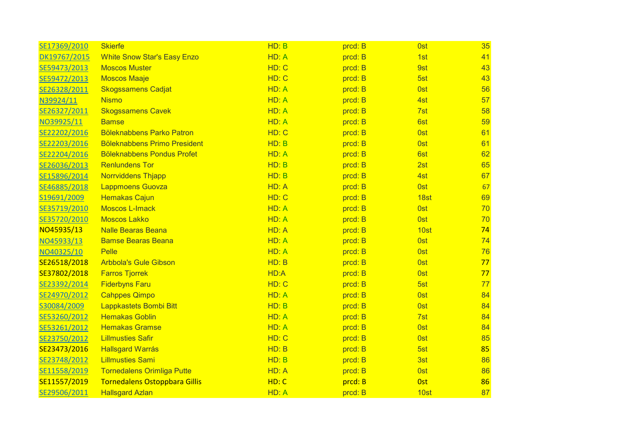| SE17369/2010 | <b>Skierfe</b>                       | HD: B | prcd: B | <b>Ost</b>      | 35 |
|--------------|--------------------------------------|-------|---------|-----------------|----|
| DK19767/2015 | <b>White Snow Star's Easy Enzo</b>   | HD: A | prcd: B | 1st             | 41 |
| SE59473/2013 | <b>Moscos Muster</b>                 | HD: C | prcd: B | 9st             | 43 |
| SE59472/2013 | <b>Moscos Maaje</b>                  | HD: C | prcd: B | 5st             | 43 |
| SE26328/2011 | <b>Skogssamens Cadjat</b>            | HD: A | prcd: B | <b>Ost</b>      | 56 |
| N39924/11    | <b>Nismo</b>                         | HD: A | prcd: B | 4st             | 57 |
| SE26327/2011 | <b>Skogssamens Cavek</b>             | HD: A | prcd: B | 7st             | 58 |
| NO39925/11   | <b>Bamse</b>                         | HD: A | prcd: B | 6st             | 59 |
| SE22202/2016 | <b>Böleknabbens Parko Patron</b>     | HD: C | prcd: B | <b>Ost</b>      | 61 |
| SE22203/2016 | <b>Böleknabbens Primo President</b>  | HD: B | prcd: B | <b>Ost</b>      | 61 |
| SE22204/2016 | <b>Böleknabbens Pondus Profet</b>    | HD: A | prcd: B | 6st             | 62 |
| SE26036/2013 | <b>Renlundens Tor</b>                | HD: B | prcd: B | 2st             | 65 |
| SE15896/2014 | <b>Norrviddens Thjapp</b>            | HD: B | prcd: B | 4st             | 67 |
| SE46885/2018 | <b>Lappmoens Guovza</b>              | HD: A | prcd: B | <b>Ost</b>      | 67 |
| S19691/2009  | <b>Hemakas Cajun</b>                 | HD: C | prcd: B | 18st            | 69 |
| SE35719/2010 | <b>Moscos L-Imack</b>                | HD: A | prcd: B | <b>Ost</b>      | 70 |
| SE35720/2010 | <b>Moscos Lakko</b>                  | HD: A | prcd: B | <b>Ost</b>      | 70 |
| NO45935/13   | <b>Nalle Bearas Beana</b>            | HD: A | prcd: B | 10st            | 74 |
| NO45933/13   | <b>Bamse Bearas Beana</b>            | HD: A | prcd: B | <b>Ost</b>      | 74 |
| NO40325/10   | Pelle                                | HD: A | prcd: B | <b>Ost</b>      | 76 |
| SE26518/2018 | <b>Arbbola's Gule Gibson</b>         | HD: B | prcd: B | <b>Ost</b>      | 77 |
| SE37802/2018 | <b>Farros Tjorrek</b>                | HD:A  | prcd: B | 0 <sub>st</sub> | 77 |
| SE23392/2014 | <b>Fiderbyns Faru</b>                | HD: C | prcd: B | 5st             | 77 |
| SE24970/2012 | <b>Cahppes Qimpo</b>                 | HD: A | prcd: B | 0 <sub>st</sub> | 84 |
| S30084/2009  | Lappkastets Bombi Bitt               | HD: B | prcd: B | <b>Ost</b>      | 84 |
| SE53260/2012 | <b>Hemakas Goblin</b>                | HD: A | prcd: B | 7st             | 84 |
| SE53261/2012 | <b>Hemakas Gramse</b>                | HD: A | prcd: B | <b>Ost</b>      | 84 |
| SE23750/2012 | <b>Lillmusties Safir</b>             | HD: C | prcd: B | <b>Ost</b>      | 85 |
| SE23473/2016 | <b>Hallsgard Warrás</b>              | HD: B | prcd: B | 5st             | 85 |
| SE23748/2012 | <b>Lillmusties Sami</b>              | HD: B | prcd: B | 3st             | 86 |
| SE11558/2019 | <b>Tornedalens Orimliga Putte</b>    | HD: A | prcd: B | <b>Ost</b>      | 86 |
| SE11557/2019 | <b>Tornedalens Ostoppbara Gillis</b> | HD: C | prcd: B | <b>Ost</b>      | 86 |
| SE29506/2011 | <b>Hallsgard Azlan</b>               | HD: A | prcd: B | 10st            | 87 |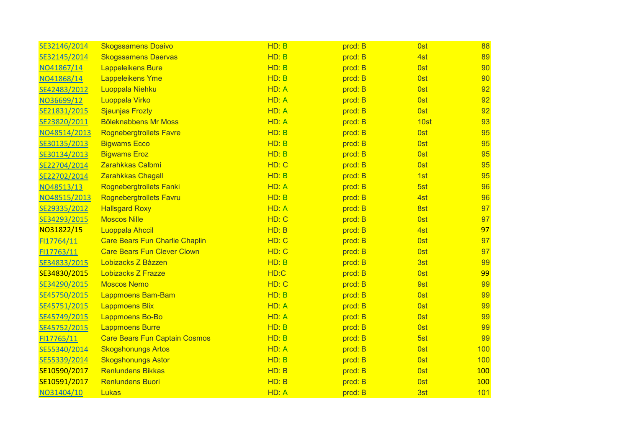| SE32146/2014 | <b>Skogssamens Doaivo</b>             | HD: B | prcd: B | 0 <sub>st</sub> | 88  |
|--------------|---------------------------------------|-------|---------|-----------------|-----|
| SE32145/2014 | <b>Skogssamens Daervas</b>            | HD: B | prcd: B | 4st             | 89  |
| NO41867/14   | <b>Lappeleikens Bure</b>              | HD: B | prcd: B | <b>Ost</b>      | 90  |
| NO41868/14   | <b>Lappeleikens Yme</b>               | HD: B | prcd: B | 0st             | 90  |
| SE42483/2012 | <b>Luoppala Niehku</b>                | HD: A | prcd: B | 0 <sub>st</sub> | 92  |
| NO36699/12   | Luoppala Virko                        | HD: A | prcd: B | 0st             | 92  |
| SE21831/2015 | <b>Sjaunjas Frozty</b>                | HD: A | prcd: B | <b>Ost</b>      | 92  |
| SE23820/2011 | <b>Böleknabbens Mr Moss</b>           | HD: A | prcd: B | 10st            | 93  |
| NO48514/2013 | <b>Rognebergtrollets Favre</b>        | HD: B | prcd: B | <b>Ost</b>      | 95  |
| SE30135/2013 | <b>Bigwams Ecco</b>                   | HD: B | prcd: B | <b>Ost</b>      | 95  |
| SE30134/2013 | <b>Bigwams Eroz</b>                   | HD: B | prcd: B | <b>Ost</b>      | 95  |
| SE22704/2014 | Zarahkkas Calbmi                      | HD: C | prcd: B | <b>Ost</b>      | 95  |
| SE22702/2014 | <b>Zarahkkas Chagall</b>              | HD: B | prcd: B | 1st             | 95  |
| NO48513/13   | <b>Rognebergtrollets Fanki</b>        | HD: A | prcd: B | 5st             | 96  |
| NO48515/2013 | <b>Rognebergtrollets Favru</b>        | HD: B | prcd: B | 4st             | 96  |
| SE29335/2012 | <b>Hallsgard Roxy</b>                 | HD: A | prcd: B | 8st             | 97  |
| SE34293/2015 | <b>Moscos Nille</b>                   | HD: C | prcd: B | <b>Ost</b>      | 97  |
| NO31822/15   | <b>Luoppala Ahccil</b>                | HD: B | prcd: B | 4st             | 97  |
| FI17764/11   | <b>Care Bears Fun Charlie Chaplin</b> | HD: C | prcd: B | <b>Ost</b>      | 97  |
| FI17763/11   | <b>Care Bears Fun Clever Clown</b>    | HD: C | prcd: B | <b>Ost</b>      | 97  |
| SE34833/2015 | Lobizacks Z Båzzen                    | HD: B | prcd: B | 3st             | 99  |
| SE34830/2015 | <b>Lobizacks Z Frazze</b>             | HD:C  | prcd: B | 0 <sub>st</sub> | 99  |
| SE34290/2015 | <b>Moscos Nemo</b>                    | HD: C | prcd: B | 9st             | 99  |
| SE45750/2015 | <b>Lappmoens Bam-Bam</b>              | HD: B | prcd: B | <b>Ost</b>      | 99  |
| SE45751/2015 | <b>Lappmoens Blix</b>                 | HD: A | prcd: B | 0 <sub>st</sub> | 99  |
| SE45749/2015 | <b>Lappmoens Bo-Bo</b>                | HD: A | prcd: B | <b>Ost</b>      | 99  |
| SE45752/2015 | <b>Lappmoens Burre</b>                | HD: B | prcd: B | 0 <sub>st</sub> | 99  |
| FI17765/11   | <b>Care Bears Fun Captain Cosmos</b>  | HD: B | prcd: B | 5st             | 99  |
| SE55340/2014 | <b>Skogshonungs Artos</b>             | HD: A | prcd: B | <b>Ost</b>      | 100 |
| SE55339/2014 | <b>Skogshonungs Astor</b>             | HD: B | prcd: B | <b>Ost</b>      | 100 |
| SE10590/2017 | <b>Renlundens Bikkas</b>              | HD: B | prcd: B | <b>Ost</b>      | 100 |
| SE10591/2017 | <b>Renlundens Buori</b>               | HD: B | prcd: B | 0 <sub>st</sub> | 100 |
| NO31404/10   | Lukas                                 | HD: A | prcd: B | 3st             | 101 |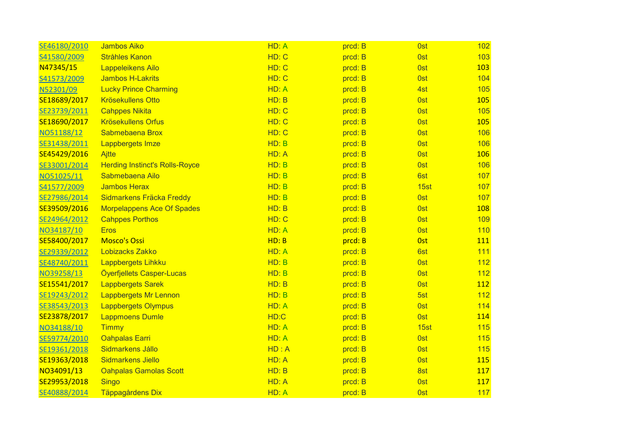| SE46180/2010 | <b>Jambos Aiko</b>                    | HD: A | prcd: B | <b>Ost</b>      | 102        |
|--------------|---------------------------------------|-------|---------|-----------------|------------|
| S41580/2009  | <b>Stråhles Kanon</b>                 | HD: C | prcd: B | <b>Ost</b>      | 103        |
| N47345/15    | <b>Lappeleikens Ailo</b>              | HD: C | prcd: B | <b>Ost</b>      | 103        |
| S41573/2009  | <b>Jambos H-Lakrits</b>               | HD: C | prcd: B | 0st             | 104        |
| N52301/09    | <b>Lucky Prince Charming</b>          | HD: A | prcd: B | 4st             | 105        |
| SE18689/2017 | <b>Krösekullens Otto</b>              | HD: B | prcd: B | <b>Ost</b>      | 105        |
| SE23739/2011 | <b>Cahppes Nikita</b>                 | HD: C | prcd: B | <b>Ost</b>      | 105        |
| SE18690/2017 | <b>Krösekullens Orfus</b>             | HD: C | prcd: B | <b>Ost</b>      | 105        |
| NO51188/12   | Sabmebaena Brox                       | HD: C | prcd: B | <b>Ost</b>      | 106        |
| SE31438/2011 | <b>Lappbergets Imze</b>               | HD: B | prcd: B | <b>Ost</b>      | 106        |
| SE45429/2016 | Ajtte                                 | HD: A | prcd: B | 0st             | 106        |
| SE33001/2014 | <b>Herding Instinct's Rolls-Royce</b> | HD: B | prcd: B | <b>Ost</b>      | 106        |
| NO51025/11   | Sabmebaena Ailo                       | HD: B | prcd: B | 6st             | 107        |
| S41577/2009  | <b>Jambos Herax</b>                   | HD: B | prcd: B | 15st            | 107        |
| SE27986/2014 | Sidmarkens Fräcka Freddy              | HD: B | prcd: B | <b>Ost</b>      | 107        |
| SE39509/2016 | <b>Morpelappens Ace Of Spades</b>     | HD: B | prcd: B | <b>Ost</b>      | 108        |
| SE24964/2012 | <b>Cahppes Porthos</b>                | HD: C | prcd: B | <b>Ost</b>      | 109        |
| NO34187/10   | <b>Eros</b>                           | HD: A | prcd: B | <b>Ost</b>      | 110        |
| SE58400/2017 | <b>Mosco's Ossi</b>                   | HD: B | prcd: B | <b>Ost</b>      | 111        |
| SE29339/2012 | Lobizacks Zakko                       | HD: A | prcd: B | 6st             | 111        |
| SE48740/2011 | Lappbergets Lihkku                    | HD: B | prcd: B | <b>Ost</b>      | 112        |
| NO39258/13   | Öyerfjellets Casper-Lucas             | HD: B | prcd: B | 0 <sub>st</sub> | 112        |
| SE15541/2017 | <b>Lappbergets Sarek</b>              | HD: B | prcd: B | <b>Ost</b>      | 112        |
| SE19243/2012 | <b>Lappbergets Mr Lennon</b>          | HD: B | prcd: B | 5st             | 112        |
| SE38543/2013 | <b>Lappbergets Olympus</b>            | HD: A | prcd: B | <b>Ost</b>      | 114        |
| SE23878/2017 | <b>Lappmoens Dumle</b>                | HD:C  | prcd: B | <b>Ost</b>      | 114        |
| NO34188/10   | <b>Timmy</b>                          | HD: A | prcd: B | 15st            | 115        |
| SE59774/2010 | <b>Oahpalas Earri</b>                 | HD: A | prcd: B | <b>Ost</b>      | 115        |
| SE19361/2018 | Sidmarkens Jállo                      | HD: A | prcd: B | <b>Ost</b>      | 115        |
| SE19363/2018 | Sidmarkens Jiello                     | HD: A | prcd: B | 0st             | <b>115</b> |
| NO34091/13   | <b>Oahpalas Gamolas Scott</b>         | HD: B | prcd: B | 8st             | 117        |
| SE29953/2018 | <b>Singo</b>                          | HD: A | prcd: B | <b>Ost</b>      | 117        |
| SE40888/2014 | Täppagårdens Dix                      | HD: A | prcd: B | <b>Ost</b>      | 117        |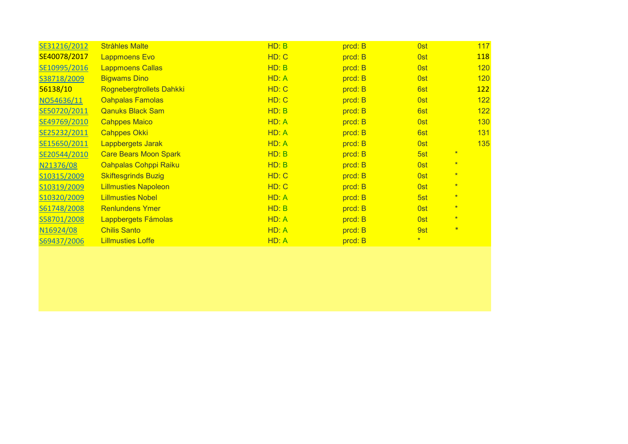| SE31216/2012 | <b>Stråhles Malte</b>        | HD: B | prcd: B | <b>Ost</b> | 117        |  |
|--------------|------------------------------|-------|---------|------------|------------|--|
| SE40078/2017 | <b>Lappmoens Evo</b>         | HD: C | prcd: B | <b>Ost</b> | <b>118</b> |  |
| SE10995/2016 | <b>Lappmoens Callas</b>      | HD: B | prcd: B | 0st        | 120        |  |
| S38718/2009  | <b>Bigwams Dino</b>          | HD: A | prcd: B | 0st        | 120        |  |
| 56138/10     | Rognebergtrollets Dahkki     | HD: C | prcd: B | 6st        | 122        |  |
| NO54636/11   | <b>Oahpalas Famolas</b>      | HD: C | prcd: B | <b>Ost</b> | 122        |  |
| SE50720/2011 | <b>Qanuks Black Sam</b>      | HD: B | prcd: B | 6st        | 122        |  |
| SE49769/2010 | <b>Cahppes Maico</b>         | HD: A | prcd: B | <b>Ost</b> | 130        |  |
| SE25232/2011 | <b>Cahppes Okki</b>          | HD: A | prcd: B | 6st        | 131        |  |
| SE15650/2011 | Lappbergets Jarak            | HD: A | prcd: B | <b>Ost</b> | 135        |  |
| SE20544/2010 | <b>Care Bears Moon Spark</b> | HD: B | prcd: B | 5st        | $\star$    |  |
| N21376/08    | Oahpalas Cohppi Raiku        | HD: B | prcd: B | 0st        | $\star$    |  |
| S10315/2009  | <b>Skiftesgrinds Buzig</b>   | HD: C | prcd: B | 0st        | $\star$    |  |
| S10319/2009  | <b>Lillmusties Napoleon</b>  | HD: C | prcd: B | <b>Ost</b> | $\star$    |  |
| S10320/2009  | <b>Lillmusties Nobel</b>     | HD: A | prcd: B | 5st        | $\star$    |  |
| S61748/2008  | <b>Renlundens Ymer</b>       | HD: B | prcd: B | 0st        | $\star$    |  |
| S58701/2008  | Lappbergets Fámolas          | HD: A | prcd: B | 0st        | $\star$    |  |
| N16924/08    | <b>Chilis Santo</b>          | HD: A | prcd: B | 9st        | $\ast$     |  |
| S69437/2006  | <b>Lillmusties Loffe</b>     | HD: A | prcd: B | $\star$    |            |  |